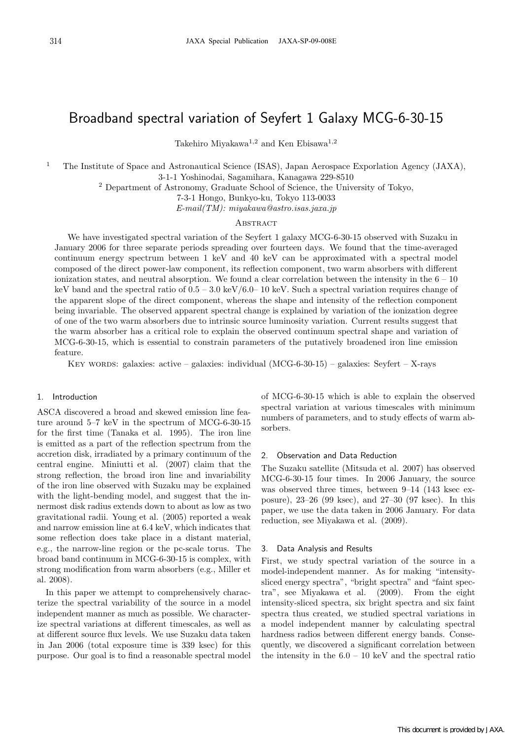# Broadband spectral variation of Seyfert 1 Galaxy MCG-6-30-15

Takehiro Miyakawa<sup>1</sup>*,*<sup>2</sup> and Ken Ebisawa<sup>1</sup>*,*<sup>2</sup>

<sup>1</sup> The Institute of Space and Astronautical Science (ISAS), Japan Aerospace Exporlation Agency (JAXA),

3-1-1 Yoshinodai, Sagamihara, Kanagawa 229-8510

<sup>2</sup> Department of Astronomy, Graduate School of Science, the University of Tokyo,

7-3-1 Hongo, Bunkyo-ku, Tokyo 113-0033

*E-mail(TM): miyakawa@astro.isas.jaxa.jp*

## **ABSTRACT**

We have investigated spectral variation of the Seyfert 1 galaxy MCG-6-30-15 observed with Suzaku in January 2006 for three separate periods spreading over fourteen days. We found that the time-averaged continuum energy spectrum between 1 keV and 40 keV can be approximated with a spectral model composed of the direct power-law component, its reflection component, two warm absorbers with different ionization states, and neutral absorption. We found a clear correlation between the intensity in the  $6 - 10$ keV band and the spectral ratio of  $0.5 - 3.0 \text{ keV}/6.0 - 10 \text{ keV}$ . Such a spectral variation requires change of the apparent slope of the direct component, whereas the shape and intensity of the reflection component being invariable. The observed apparent spectral change is explained by variation of the ionization degree of one of the two warm absorbers due to intrinsic source luminosity variation. Current results suggest that the warm absorber has a critical role to explain the observed continuum spectral shape and variation of MCG-6-30-15, which is essential to constrain parameters of the putatively broadened iron line emission feature.

KEY WORDS: galaxies: active – galaxies: individual  $(MCG-6-30-15)$  – galaxies: Seyfert – X-rays

# 1. Introduction

ASCA discovered a broad and skewed emission line feature around 5–7 keV in the spectrum of MCG-6-30-15 for the first time (Tanaka et al. 1995). The iron line is emitted as a part of the reflection spectrum from the accretion disk, irradiated by a primary continuum of the central engine. Miniutti et al. (2007) claim that the strong reflection, the broad iron line and invariability of the iron line observed with Suzaku may be explained with the light-bending model, and suggest that the innermost disk radius extends down to about as low as two gravitational radii. Young et al. (2005) reported a weak and narrow emission line at 6.4 keV, which indicates that some reflection does take place in a distant material, e.g., the narrow-line region or the pc-scale torus. The broad band continuum in MCG-6-30-15 is complex, with strong modification from warm absorbers (e.g., Miller et al. 2008).

In this paper we attempt to comprehensively characterize the spectral variability of the source in a model independent manner as much as possible. We characterize spectral variations at different timescales, as well as at different source flux levels. We use Suzaku data taken in Jan 2006 (total exposure time is 339 ksec) for this purpose. Our goal is to find a reasonable spectral model of MCG-6-30-15 which is able to explain the observed spectral variation at various timescales with minimum numbers of parameters, and to study effects of warm absorbers.

# 2. Observation and Data Reduction

The Suzaku satellite (Mitsuda et al. 2007) has observed MCG-6-30-15 four times. In 2006 January, the source was observed three times, between 9–14 (143 ksec exposure), 23–26 (99 ksec), and 27–30 (97 ksec). In this paper, we use the data taken in 2006 January. For data reduction, see Miyakawa et al. (2009).

### 3. Data Analysis and Results

First, we study spectral variation of the source in a model-independent manner. As for making "intensitysliced energy spectra", "bright spectra" and "faint spectra", see Miyakawa et al. (2009). From the eight intensity-sliced spectra, six bright spectra and six faint spectra thus created, we studied spectral variations in a model independent manner by calculating spectral hardness radios between different energy bands. Consequently, we discovered a significant correlation between the intensity in the  $6.0 - 10 \text{ keV}$  and the spectral ratio